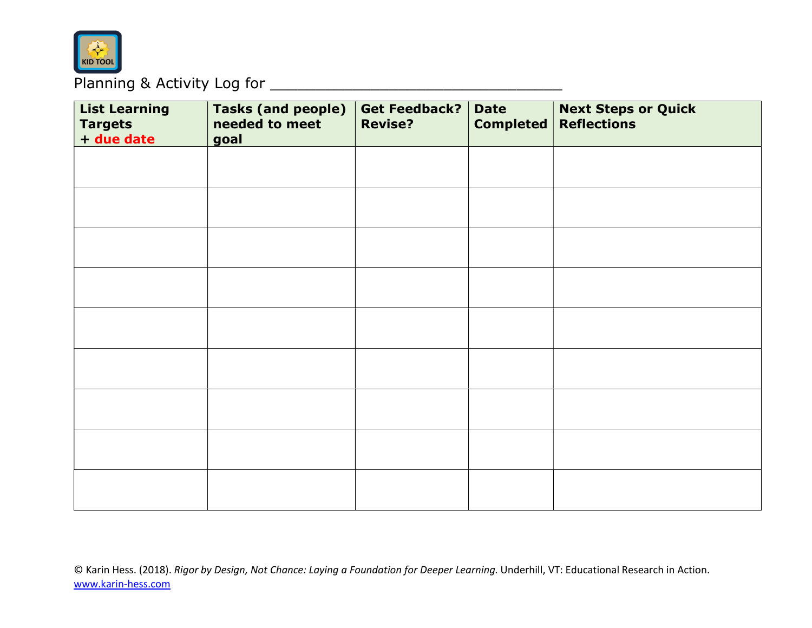

## Planning & Activity Log for \_\_\_\_\_\_\_\_\_\_\_\_\_\_\_\_\_\_\_\_\_\_\_\_\_\_\_\_\_\_\_\_

| <b>List Learning</b><br><b>Targets</b><br>+ due date | <b>Tasks (and people)</b><br>needed to meet<br>goal | Get Feedback?<br><b>Revise?</b> | <b>Date</b><br><b>Completed</b> | <b>Next Steps or Quick</b><br><b>Reflections</b> |
|------------------------------------------------------|-----------------------------------------------------|---------------------------------|---------------------------------|--------------------------------------------------|
|                                                      |                                                     |                                 |                                 |                                                  |
|                                                      |                                                     |                                 |                                 |                                                  |
|                                                      |                                                     |                                 |                                 |                                                  |
|                                                      |                                                     |                                 |                                 |                                                  |
|                                                      |                                                     |                                 |                                 |                                                  |
|                                                      |                                                     |                                 |                                 |                                                  |
|                                                      |                                                     |                                 |                                 |                                                  |
|                                                      |                                                     |                                 |                                 |                                                  |
|                                                      |                                                     |                                 |                                 |                                                  |

© Karin Hess. (2018). Rigor by Design, Not Chance: Laying a Foundation for Deeper Learning. Underhill, VT: Educational Research in Action. www.karin-hess.com